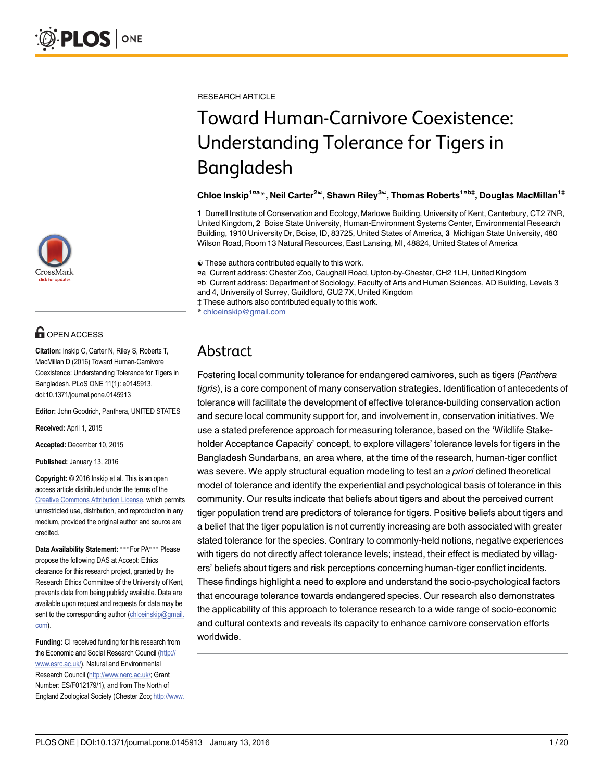

# **G** OPEN ACCESS

Citation: Inskip C, Carter N, Riley S, Roberts T, MacMillan D (2016) Toward Human-Carnivore Coexistence: Understanding Tolerance for Tigers in Bangladesh. PLoS ONE 11(1): e0145913. doi:10.1371/journal.pone.0145913

Editor: John Goodrich, Panthera, UNITED STATES

Received: April 1, 2015

Accepted: December 10, 2015

Published: January 13, 2016

Copyright: © 2016 Inskip et al. This is an open access article distributed under the terms of the [Creative Commons Attribution License,](http://creativecommons.org/licenses/by/4.0/) which permits unrestricted use, distribution, and reproduction in any medium, provided the original author and source are credited.

Data Availability Statement: \*\*\* For PA\*\*\* Please propose the following DAS at Accept: Ethics clearance for this research project, granted by the Research Ethics Committee of the University of Kent, prevents data from being publicly available. Data are available upon request and requests for data may be sent to the corresponding author (chloeinskip@gmail. com).

Funding: CI received funding for this research from the Economic and Social Research Council [\(http://](http://www.esrc.ac.uk/) [www.esrc.ac.uk/](http://www.esrc.ac.uk/)), Natural and Environmental Research Council [\(http://www.nerc.ac.uk/;](http://www.nerc.ac.uk/) Grant Number: ES/F012179/1), and from The North of England Zoological Society (Chester Zoo; [http://www.](http://www.chesterzoo.org/conservation-and-research/field-conservation) RESEARCH ARTICLE

# Toward Human-Carnivore Coexistence: Understanding Tolerance for Tigers in Bangladesh

#### Chloe Inskip<sup>1¤a</sup>\*, Neil Carter<sup>2©</sup>, Shawn Riley<sup>3©</sup>, Thomas Roberts<sup>1¤b‡</sup>, Douglas MacMillan<sup>1‡</sup>

1 Durrell Institute of Conservation and Ecology, Marlowe Building, University of Kent, Canterbury, CT2 7NR, United Kingdom, 2 Boise State University, Human-Environment Systems Center, Environmental Research Building, 1910 University Dr, Boise, ID, 83725, United States of America, 3 Michigan State University, 480 Wilson Road, Room 13 Natural Resources, East Lansing, MI, 48824, United States of America

☯ These authors contributed equally to this work.

¤a Current address: Chester Zoo, Caughall Road, Upton-by-Chester, CH2 1LH, United Kingdom ¤b Current address: Department of Sociology, Faculty of Arts and Human Sciences, AD Building, Levels 3 and 4, University of Surrey, Guildford, GU2 7X, United Kingdom ‡ These authors also contributed equally to this work.

\* chloeinskip@gmail.com

# Abstract

Fostering local community tolerance for endangered carnivores, such as tigers (Panthera tigris), is a core component of many conservation strategies. Identification of antecedents of tolerance will facilitate the development of effective tolerance-building conservation action and secure local community support for, and involvement in, conservation initiatives. We use a stated preference approach for measuring tolerance, based on the 'Wildlife Stakeholder Acceptance Capacity' concept, to explore villagers' tolerance levels for tigers in the Bangladesh Sundarbans, an area where, at the time of the research, human-tiger conflict was severe. We apply structural equation modeling to test an a priori defined theoretical model of tolerance and identify the experiential and psychological basis of tolerance in this community. Our results indicate that beliefs about tigers and about the perceived current tiger population trend are predictors of tolerance for tigers. Positive beliefs about tigers and a belief that the tiger population is not currently increasing are both associated with greater stated tolerance for the species. Contrary to commonly-held notions, negative experiences with tigers do not directly affect tolerance levels; instead, their effect is mediated by villagers' beliefs about tigers and risk perceptions concerning human-tiger conflict incidents. These findings highlight a need to explore and understand the socio-psychological factors that encourage tolerance towards endangered species. Our research also demonstrates the applicability of this approach to tolerance research to a wide range of socio-economic and cultural contexts and reveals its capacity to enhance carnivore conservation efforts worldwide.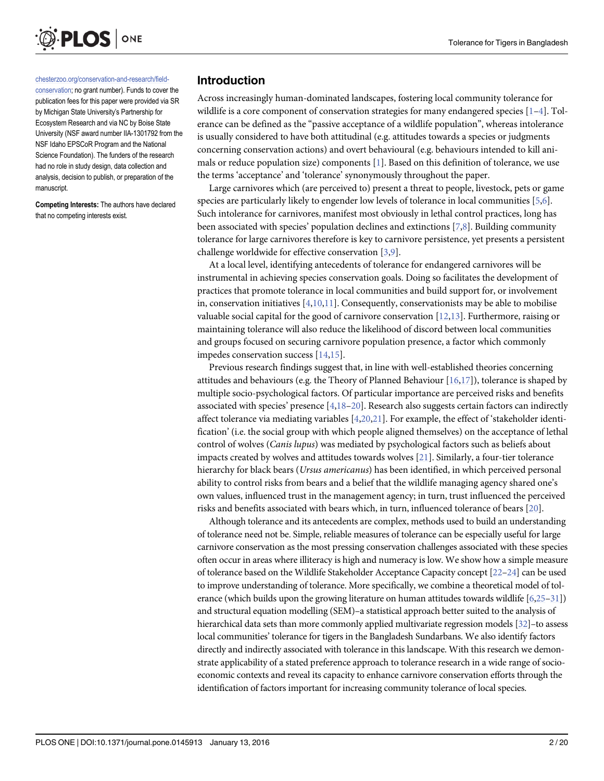<span id="page-1-0"></span>

#### [chesterzoo.org/conservation-and-research/field-](http://www.chesterzoo.org/conservation-and-research/field-conservation)

[conservation](http://www.chesterzoo.org/conservation-and-research/field-conservation); no grant number). Funds to cover the publication fees for this paper were provided via SR by Michigan State University's Partnership for Ecosystem Research and via NC by Boise State University (NSF award number IIA-1301792 from the NSF Idaho EPSCoR Program and the National Science Foundation). The funders of the research had no role in study design, data collection and analysis, decision to publish, or preparation of the manuscript.

Competing Interests: The authors have declared that no competing interests exist.

#### Introduction

Across increasingly human-dominated landscapes, fostering local community tolerance for wildlife is a core component of conservation strategies for many endangered species  $[1-4]$  $[1-4]$  $[1-4]$  $[1-4]$ . Tolerance can be defined as the "passive acceptance of a wildlife population", whereas intolerance is usually considered to have both attitudinal (e.g. attitudes towards a species or judgments concerning conservation actions) and overt behavioural (e.g. behaviours intended to kill ani-mals or reduce population size) components [\[1](#page-16-0)]. Based on this definition of tolerance, we use the terms 'acceptance' and 'tolerance' synonymously throughout the paper.

Large carnivores which (are perceived to) present a threat to people, livestock, pets or game species are particularly likely to engender low levels of tolerance in local communities [[5,6\]](#page-16-0). Such intolerance for carnivores, manifest most obviously in lethal control practices, long has been associated with species' population declines and extinctions  $[7,8]$  $[7,8]$ . Building community tolerance for large carnivores therefore is key to carnivore persistence, yet presents a persistent challenge worldwide for effective conservation [\[3,9\]](#page-16-0).

At a local level, identifying antecedents of tolerance for endangered carnivores will be instrumental in achieving species conservation goals. Doing so facilitates the development of practices that promote tolerance in local communities and build support for, or involvement in, conservation initiatives  $[4,10,11]$  $[4,10,11]$ . Consequently, conservationists may be able to mobilise valuable social capital for the good of carnivore conservation [\[12,](#page-16-0)[13](#page-17-0)]. Furthermore, raising or maintaining tolerance will also reduce the likelihood of discord between local communities and groups focused on securing carnivore population presence, a factor which commonly impedes conservation success  $[14,15]$  $[14,15]$  $[14,15]$ .

Previous research findings suggest that, in line with well-established theories concerning attitudes and behaviours (e.g. the Theory of Planned Behaviour  $[16,17]$  $[16,17]$ ), tolerance is shaped by multiple socio-psychological factors. Of particular importance are perceived risks and benefits associated with species' presence  $[4,18-20]$  $[4,18-20]$  $[4,18-20]$  $[4,18-20]$ . Research also suggests certain factors can indirectly affect tolerance via mediating variables  $[4,20,21]$  $[4,20,21]$  $[4,20,21]$ . For example, the effect of 'stakeholder identification' (i.e. the social group with which people aligned themselves) on the acceptance of lethal control of wolves (Canis lupus) was mediated by psychological factors such as beliefs about impacts created by wolves and attitudes towards wolves  $[21]$ . Similarly, a four-tier tolerance hierarchy for black bears (Ursus americanus) has been identified, in which perceived personal ability to control risks from bears and a belief that the wildlife managing agency shared one's own values, influenced trust in the management agency; in turn, trust influenced the perceived risks and benefits associated with bears which, in turn, influenced tolerance of bears [\[20\]](#page-17-0).

Although tolerance and its antecedents are complex, methods used to build an understanding of tolerance need not be. Simple, reliable measures of tolerance can be especially useful for large carnivore conservation as the most pressing conservation challenges associated with these species often occur in areas where illiteracy is high and numeracy is low. We show how a simple measure of tolerance based on the Wildlife Stakeholder Acceptance Capacity concept [[22](#page-17-0)–[24\]](#page-17-0) can be used to improve understanding of tolerance. More specifically, we combine a theoretical model of tolerance (which builds upon the growing literature on human attitudes towards wildlife [[6,](#page-16-0)[25](#page-17-0)–[31](#page-17-0)]) and structural equation modelling (SEM)–a statistical approach better suited to the analysis of hierarchical data sets than more commonly applied multivariate regression models [[32\]](#page-17-0)–to assess local communities' tolerance for tigers in the Bangladesh Sundarbans. We also identify factors directly and indirectly associated with tolerance in this landscape. With this research we demonstrate applicability of a stated preference approach to tolerance research in a wide range of socioeconomic contexts and reveal its capacity to enhance carnivore conservation efforts through the identification of factors important for increasing community tolerance of local species.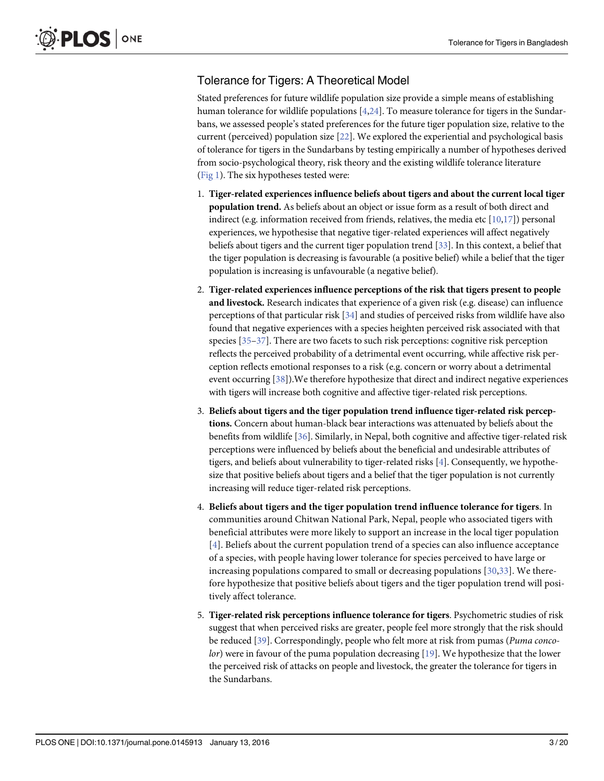# <span id="page-2-0"></span>Tolerance for Tigers: A Theoretical Model

Stated preferences for future wildlife population size provide a simple means of establishing human tolerance for wildlife populations  $[4,24]$  $[4,24]$  $[4,24]$  $[4,24]$ . To measure tolerance for tigers in the Sundarbans, we assessed people's stated preferences for the future tiger population size, relative to the current (perceived) population size [[22](#page-17-0)]. We explored the experiential and psychological basis of tolerance for tigers in the Sundarbans by testing empirically a number of hypotheses derived from socio-psychological theory, risk theory and the existing wildlife tolerance literature [\(Fig 1\)](#page-3-0). The six hypotheses tested were:

- 1. Tiger-related experiences influence beliefs about tigers and about the current local tiger population trend. As beliefs about an object or issue form as a result of both direct and indirect (e.g. information received from friends, relatives, the media etc  $[10,17]$  $[10,17]$  $[10,17]$ ) personal experiences, we hypothesise that negative tiger-related experiences will affect negatively beliefs about tigers and the current tiger population trend [\[33](#page-17-0)]. In this context, a belief that the tiger population is decreasing is favourable (a positive belief) while a belief that the tiger population is increasing is unfavourable (a negative belief).
- 2. Tiger-related experiences influence perceptions of the risk that tigers present to people and livestock. Research indicates that experience of a given risk (e.g. disease) can influence perceptions of that particular risk  $[34]$  $[34]$  and studies of perceived risks from wildlife have also found that negative experiences with a species heighten perceived risk associated with that species  $[35-37]$  $[35-37]$  $[35-37]$ . There are two facets to such risk perceptions: cognitive risk perception reflects the perceived probability of a detrimental event occurring, while affective risk perception reflects emotional responses to a risk (e.g. concern or worry about a detrimental event occurring [[38](#page-17-0)]). We therefore hypothesize that direct and indirect negative experiences with tigers will increase both cognitive and affective tiger-related risk perceptions.
- 3. Beliefs about tigers and the tiger population trend influence tiger-related risk perceptions. Concern about human-black bear interactions was attenuated by beliefs about the benefits from wildlife [[36\]](#page-17-0). Similarly, in Nepal, both cognitive and affective tiger-related risk perceptions were influenced by beliefs about the beneficial and undesirable attributes of tigers, and beliefs about vulnerability to tiger-related risks [\[4\]](#page-16-0). Consequently, we hypothesize that positive beliefs about tigers and a belief that the tiger population is not currently increasing will reduce tiger-related risk perceptions.
- 4. Beliefs about tigers and the tiger population trend influence tolerance for tigers. In communities around Chitwan National Park, Nepal, people who associated tigers with beneficial attributes were more likely to support an increase in the local tiger population  $[4]$  $[4]$  $[4]$ . Beliefs about the current population trend of a species can also influence acceptance of a species, with people having lower tolerance for species perceived to have large or increasing populations compared to small or decreasing populations [[30,33\]](#page-17-0). We therefore hypothesize that positive beliefs about tigers and the tiger population trend will positively affect tolerance.
- 5. Tiger-related risk perceptions influence tolerance for tigers. Psychometric studies of risk suggest that when perceived risks are greater, people feel more strongly that the risk should be reduced [[39](#page-17-0)]. Correspondingly, people who felt more at risk from pumas (Puma conco-lor) were in favour of the puma population decreasing [[19\]](#page-17-0). We hypothesize that the lower the perceived risk of attacks on people and livestock, the greater the tolerance for tigers in the Sundarbans.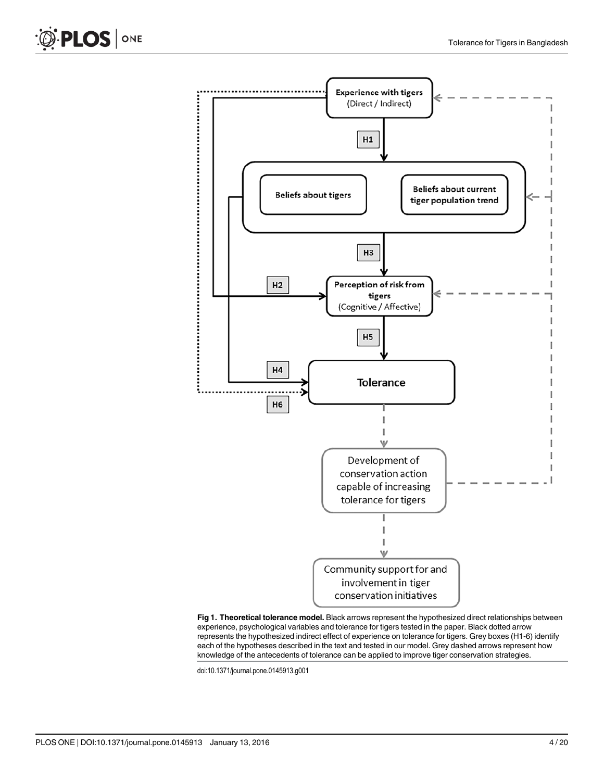

[Fig 1. T](#page-2-0)heoretical tolerance model. Black arrows represent the hypothesized direct relationships between experience, psychological variables and tolerance for tigers tested in the paper. Black dotted arrow represents the hypothesized indirect effect of experience on tolerance for tigers. Grey boxes (H1-6) identify each of the hypotheses described in the text and tested in our model. Grey dashed arrows represent how knowledge of the antecedents of tolerance can be applied to improve tiger conservation strategies.

doi:10.1371/journal.pone.0145913.g001

<span id="page-3-0"></span>PLOS | ONE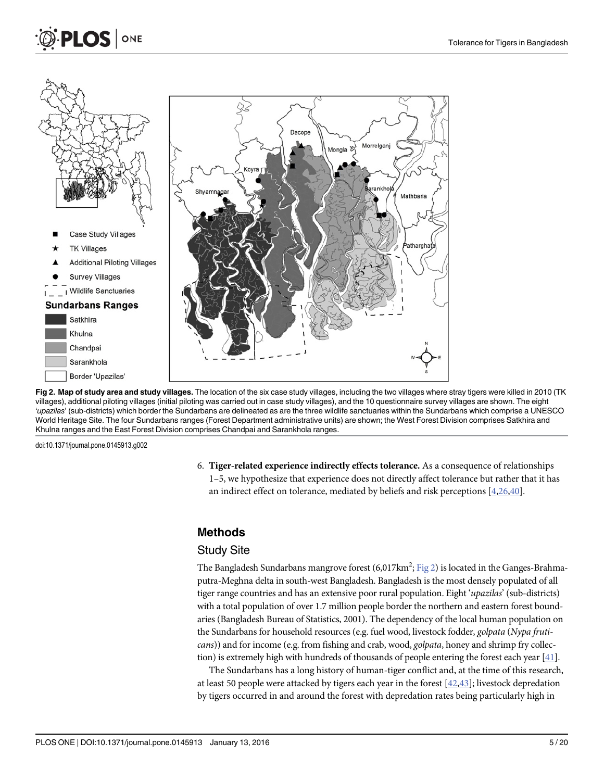<span id="page-4-0"></span>



- **TK Villages**
- **Additional Piloting Villages**
- **Survey Villages**



#### **Sundarbans Ranges**

| Satkhira                 |
|--------------------------|
| Khulna                   |
| Chandpai                 |
| Sarankhola               |
| <b>Border 'Upazilas'</b> |



Fig 2. Map of study area and study villages. The location of the six case study villages, including the two villages where stray tigers were killed in 2010 (TK villages), additional piloting villages (initial piloting was carried out in case study villages), and the 10 questionnaire survey villages are shown. The eight 'upazilas' (sub-districts) which border the Sundarbans are delineated as are the three wildlife sanctuaries within the Sundarbans which comprise a UNESCO World Heritage Site. The four Sundarbans ranges (Forest Department administrative units) are shown; the West Forest Division comprises Satkhira and Khulna ranges and the East Forest Division comprises Chandpai and Sarankhola ranges.

doi:10.1371/journal.pone.0145913.g002

6. Tiger-related experience indirectly effects tolerance. As a consequence of relationships 1–5, we hypothesize that experience does not directly affect tolerance but rather that it has an indirect effect on tolerance, mediated by beliefs and risk perceptions [\[4](#page-16-0)[,26](#page-17-0)[,40\]](#page-18-0).

#### Methods

#### Study Site

The Bangladesh Sundarbans mangrove forest (6,017km<sup>2</sup>;  $\underline{\mathrm{Fig \ 2}}$ ) is located in the Ganges-Brahmaputra-Meghna delta in south-west Bangladesh. Bangladesh is the most densely populated of all tiger range countries and has an extensive poor rural population. Eight 'upazilas' (sub-districts) with a total population of over 1.7 million people border the northern and eastern forest boundaries (Bangladesh Bureau of Statistics, 2001). The dependency of the local human population on the Sundarbans for household resources (e.g. fuel wood, livestock fodder, golpata (Nypa fruticans)) and for income (e.g. from fishing and crab, wood, golpata, honey and shrimp fry collection) is extremely high with hundreds of thousands of people entering the forest each year  $[41]$  $[41]$  $[41]$ .

The Sundarbans has a long history of human-tiger conflict and, at the time of this research, at least 50 people were attacked by tigers each year in the forest [\[42,43](#page-18-0)]; livestock depredation by tigers occurred in and around the forest with depredation rates being particularly high in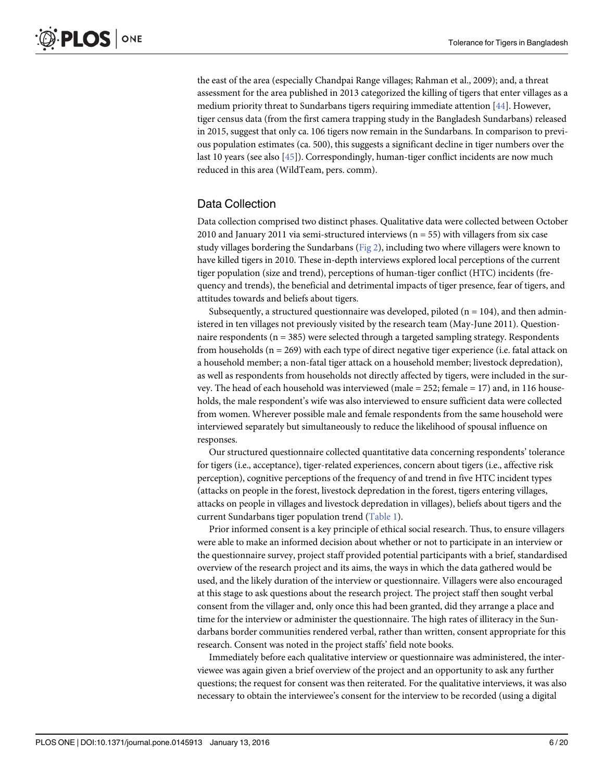<span id="page-5-0"></span>the east of the area (especially Chandpai Range villages; Rahman et al., 2009); and, a threat assessment for the area published in 2013 categorized the killing of tigers that enter villages as a medium priority threat to Sundarbans tigers requiring immediate attention  $[44]$  $[44]$  $[44]$ . However, tiger census data (from the first camera trapping study in the Bangladesh Sundarbans) released in 2015, suggest that only ca. 106 tigers now remain in the Sundarbans. In comparison to previous population estimates (ca. 500), this suggests a significant decline in tiger numbers over the last 10 years (see also [[45\]](#page-18-0)). Correspondingly, human-tiger conflict incidents are now much reduced in this area (WildTeam, pers. comm).

# Data Collection

Data collection comprised two distinct phases. Qualitative data were collected between October 2010 and January 2011 via semi-structured interviews ( $n = 55$ ) with villagers from six case study villages bordering the Sundarbans ([Fig 2](#page-4-0)), including two where villagers were known to have killed tigers in 2010. These in-depth interviews explored local perceptions of the current tiger population (size and trend), perceptions of human-tiger conflict (HTC) incidents (frequency and trends), the beneficial and detrimental impacts of tiger presence, fear of tigers, and attitudes towards and beliefs about tigers.

Subsequently, a structured questionnaire was developed, piloted ( $n = 104$ ), and then administered in ten villages not previously visited by the research team (May-June 2011). Questionnaire respondents (n = 385) were selected through a targeted sampling strategy. Respondents from households ( $n = 269$ ) with each type of direct negative tiger experience (i.e. fatal attack on a household member; a non-fatal tiger attack on a household member; livestock depredation), as well as respondents from households not directly affected by tigers, were included in the survey. The head of each household was interviewed (male  $= 252$ ; female  $= 17$ ) and, in 116 households, the male respondent's wife was also interviewed to ensure sufficient data were collected from women. Wherever possible male and female respondents from the same household were interviewed separately but simultaneously to reduce the likelihood of spousal influence on responses.

Our structured questionnaire collected quantitative data concerning respondents' tolerance for tigers (i.e., acceptance), tiger-related experiences, concern about tigers (i.e., affective risk perception), cognitive perceptions of the frequency of and trend in five HTC incident types (attacks on people in the forest, livestock depredation in the forest, tigers entering villages, attacks on people in villages and livestock depredation in villages), beliefs about tigers and the current Sundarbans tiger population trend ([Table 1](#page-6-0)).

Prior informed consent is a key principle of ethical social research. Thus, to ensure villagers were able to make an informed decision about whether or not to participate in an interview or the questionnaire survey, project staff provided potential participants with a brief, standardised overview of the research project and its aims, the ways in which the data gathered would be used, and the likely duration of the interview or questionnaire. Villagers were also encouraged at this stage to ask questions about the research project. The project staff then sought verbal consent from the villager and, only once this had been granted, did they arrange a place and time for the interview or administer the questionnaire. The high rates of illiteracy in the Sundarbans border communities rendered verbal, rather than written, consent appropriate for this research. Consent was noted in the project staffs' field note books.

Immediately before each qualitative interview or questionnaire was administered, the interviewee was again given a brief overview of the project and an opportunity to ask any further questions; the request for consent was then reiterated. For the qualitative interviews, it was also necessary to obtain the interviewee's consent for the interview to be recorded (using a digital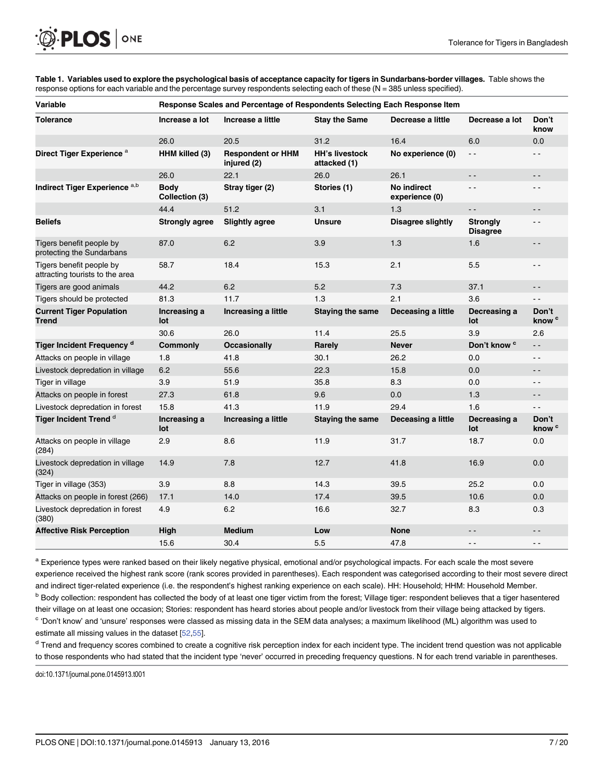<span id="page-6-0"></span>

[Table 1.](#page-5-0) Variables used to explore the psychological basis of acceptance capacity for tigers in Sundarbans-border villages. Table shows the response options for each variable and the percentage survey respondents selecting each of these (N = 385 unless specified).

| <b>Variable</b>                                             | Response Scales and Percentage of Respondents Selecting Each Response Item |                                         |                                       |                               |                                    |                            |
|-------------------------------------------------------------|----------------------------------------------------------------------------|-----------------------------------------|---------------------------------------|-------------------------------|------------------------------------|----------------------------|
| <b>Tolerance</b>                                            | Increase a lot                                                             | Increase a little                       | <b>Stay the Same</b>                  | Decrease a little             | Decrease a lot                     | Don't<br>know              |
|                                                             | 26.0                                                                       | 20.5                                    | 31.2                                  | 16.4                          | 6.0                                | 0.0                        |
| Direct Tiger Experience <sup>a</sup>                        | HHM killed (3)                                                             | <b>Respondent or HHM</b><br>injured (2) | <b>HH's livestock</b><br>attacked (1) | No experience (0)             | $\sim$ $\sim$                      | $ -$                       |
|                                                             | 26.0                                                                       | 22.1                                    | 26.0                                  | 26.1                          | $\sim$ $-$                         | $ -$                       |
| Indirect Tiger Experience a,b                               | <b>Body</b><br>Collection (3)                                              | Stray tiger (2)                         | Stories (1)                           | No indirect<br>experience (0) | $\sim$ $\sim$                      | ٠.                         |
|                                                             | 44.4                                                                       | 51.2                                    | 3.1                                   | 1.3                           | $\overline{\phantom{a}}$           | $ -$                       |
| <b>Beliefs</b>                                              | <b>Strongly agree</b>                                                      | <b>Slightly agree</b>                   | Disagree slightly<br><b>Unsure</b>    |                               | <b>Strongly</b><br><b>Disagree</b> | $ -$                       |
| Tigers benefit people by<br>protecting the Sundarbans       | 87.0                                                                       | 6.2                                     | 3.9                                   | 1.3                           | 1.6                                | $ -$                       |
| Tigers benefit people by<br>attracting tourists to the area | 58.7                                                                       | 18.4                                    | 15.3                                  | 2.1                           | 5.5                                | $ -$                       |
| Tigers are good animals                                     | 44.2                                                                       | 6.2                                     | 5.2                                   | 7.3                           | 37.1                               | $ -$                       |
| Tigers should be protected                                  | 81.3                                                                       | 11.7                                    | 1.3                                   | 2.1                           | 3.6                                | $ -$                       |
| <b>Current Tiger Population</b><br><b>Trend</b>             | Increasing a<br>lot                                                        | Increasing a little                     | <b>Staying the same</b>               | Deceasing a little            | Decreasing a<br>lot                | Don't<br>know <sup>c</sup> |
|                                                             | 30.6                                                                       | 26.0                                    | 11.4                                  | 25.5                          | 3.9                                | 2.6                        |
| <b>Tiger Incident Frequency d</b>                           | <b>Commonly</b>                                                            | <b>Occasionally</b>                     | Rarely                                | <b>Never</b>                  | Don't know <sup>c</sup>            | $-$                        |
| Attacks on people in village                                | 1.8                                                                        | 41.8                                    | 30.1                                  | 26.2                          | 0.0                                | $ -$                       |
| Livestock depredation in village                            | 6.2                                                                        | 55.6                                    | 22.3                                  | 15.8                          | 0.0                                | - -                        |
| Tiger in village                                            | 3.9                                                                        | 51.9                                    | 35.8                                  | 8.3                           | 0.0                                | $ -$                       |
| Attacks on people in forest                                 | 27.3                                                                       | 61.8                                    | 9.6                                   | 0.0                           | 1.3                                | . .                        |
| Livestock depredation in forest                             | 15.8                                                                       | 41.3                                    | 11.9                                  | 29.4                          | 1.6                                | $ -$                       |
| Tiger Incident Trend <sup>d</sup>                           | Increasing a<br>lot                                                        | Increasing a little                     | <b>Staying the same</b>               | Deceasing a little            | Decreasing a<br>lot                | Don't<br>know <sup>c</sup> |
| Attacks on people in village<br>(284)                       | 2.9                                                                        | 8.6                                     | 11.9                                  | 31.7                          | 18.7                               | 0.0                        |
| Livestock depredation in village<br>(324)                   | 14.9                                                                       | 7.8                                     | 12.7                                  | 41.8                          | 16.9                               | 0.0                        |
| Tiger in village (353)                                      | 3.9                                                                        | 8.8                                     | 14.3                                  | 39.5                          | 25.2                               | 0.0                        |
| Attacks on people in forest (266)                           | 17.1                                                                       | 14.0                                    | 17.4                                  | 39.5                          | 10.6                               | 0.0                        |
| Livestock depredation in forest<br>(380)                    | 4.9                                                                        | 6.2                                     | 16.6                                  | 32.7                          | 8.3                                | 0.3                        |
| <b>Affective Risk Perception</b>                            | High                                                                       | <b>Medium</b>                           | Low                                   | <b>None</b>                   | $ -$                               | $ -$                       |
|                                                             | 15.6                                                                       | 30.4                                    | 5.5                                   | 47.8                          | $ -$                               | . .                        |

<sup>a</sup> Experience types were ranked based on their likely negative physical, emotional and/or psychological impacts. For each scale the most severe experience received the highest rank score (rank scores provided in parentheses). Each respondent was categorised according to their most severe direct and indirect tiger-related experience (i.e. the respondent's highest ranking experience on each scale). HH: Household; HHM: Household Member. b Body collection: respondent has collected the body of at least one tiger victim from the forest; Village tiger: respondent believes that a tiger hasentered their village on at least one occasion; Stories: respondent has heard stories about people and/or livestock from their village being attacked by tigers. <sup>c</sup> 'Don't know' and 'unsure' responses were classed as missing data in the SEM data analyses; a maximum likelihood (ML) algorithm was used to estimate all missing values in the dataset [\[52,55](#page-18-0)].

<sup>d</sup> Trend and frequency scores combined to create a cognitive risk perception index for each incident type. The incident trend question was not applicable to those respondents who had stated that the incident type 'never' occurred in preceding frequency questions. N for each trend variable in parentheses.

doi:10.1371/journal.pone.0145913.t001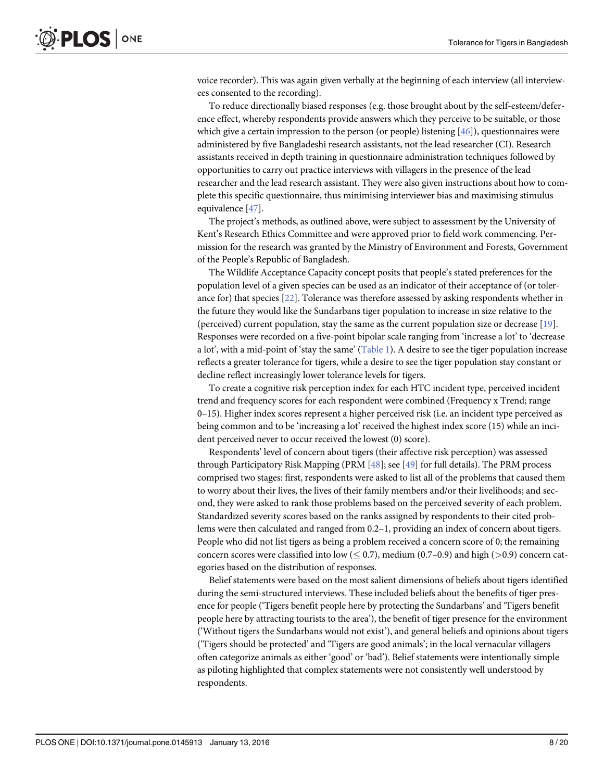<span id="page-7-0"></span>voice recorder). This was again given verbally at the beginning of each interview (all interviewees consented to the recording).

To reduce directionally biased responses (e.g. those brought about by the self-esteem/deference effect, whereby respondents provide answers which they perceive to be suitable, or those which give a certain impression to the person (or people) listening  $[46]$ ), questionnaires were administered by five Bangladeshi research assistants, not the lead researcher (CI). Research assistants received in depth training in questionnaire administration techniques followed by opportunities to carry out practice interviews with villagers in the presence of the lead researcher and the lead research assistant. They were also given instructions about how to complete this specific questionnaire, thus minimising interviewer bias and maximising stimulus equivalence [\[47\]](#page-18-0).

The project's methods, as outlined above, were subject to assessment by the University of Kent's Research Ethics Committee and were approved prior to field work commencing. Permission for the research was granted by the Ministry of Environment and Forests, Government of the People's Republic of Bangladesh.

The Wildlife Acceptance Capacity concept posits that people's stated preferences for the population level of a given species can be used as an indicator of their acceptance of (or tolerance for) that species [[22](#page-17-0)]. Tolerance was therefore assessed by asking respondents whether in the future they would like the Sundarbans tiger population to increase in size relative to the (perceived) current population, stay the same as the current population size or decrease  $[19]$  $[19]$  $[19]$ . Responses were recorded on a five-point bipolar scale ranging from 'increase a lot' to 'decrease a lot', with a mid-point of 'stay the same' [\(Table 1](#page-6-0)). A desire to see the tiger population increase reflects a greater tolerance for tigers, while a desire to see the tiger population stay constant or decline reflect increasingly lower tolerance levels for tigers.

To create a cognitive risk perception index for each HTC incident type, perceived incident trend and frequency scores for each respondent were combined (Frequency x Trend; range 0–15). Higher index scores represent a higher perceived risk (i.e. an incident type perceived as being common and to be 'increasing a lot' received the highest index score (15) while an incident perceived never to occur received the lowest (0) score).

Respondents' level of concern about tigers (their affective risk perception) was assessed through Participatory Risk Mapping (PRM  $[48]$ ; see  $[49]$  for full details). The PRM process comprised two stages: first, respondents were asked to list all of the problems that caused them to worry about their lives, the lives of their family members and/or their livelihoods; and second, they were asked to rank those problems based on the perceived severity of each problem. Standardized severity scores based on the ranks assigned by respondents to their cited problems were then calculated and ranged from 0.2–1, providing an index of concern about tigers. People who did not list tigers as being a problem received a concern score of 0; the remaining concern scores were classified into low  $(< 0.7$ ), medium (0.7–0.9) and high (>0.9) concern categories based on the distribution of responses.

Belief statements were based on the most salient dimensions of beliefs about tigers identified during the semi-structured interviews. These included beliefs about the benefits of tiger presence for people ('Tigers benefit people here by protecting the Sundarbans' and 'Tigers benefit people here by attracting tourists to the area'), the benefit of tiger presence for the environment ('Without tigers the Sundarbans would not exist'), and general beliefs and opinions about tigers ('Tigers should be protected' and 'Tigers are good animals'; in the local vernacular villagers often categorize animals as either 'good' or 'bad'). Belief statements were intentionally simple as piloting highlighted that complex statements were not consistently well understood by respondents.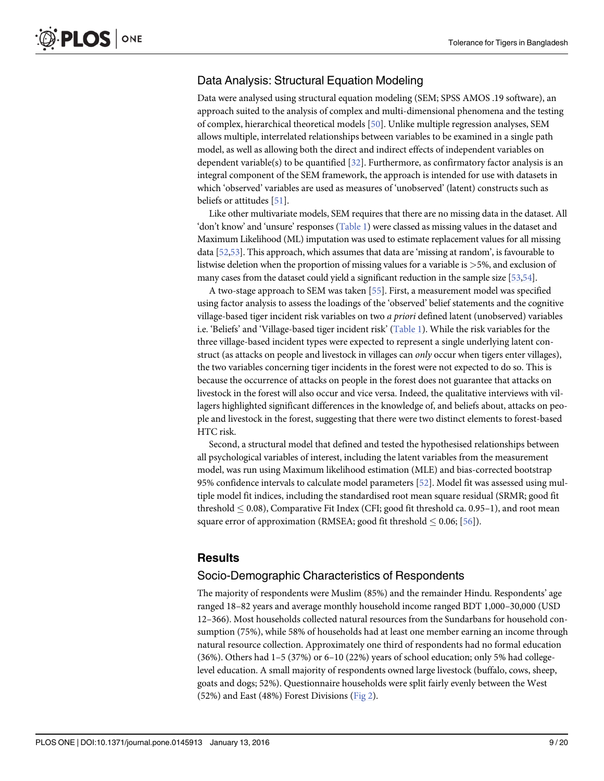## <span id="page-8-0"></span>Data Analysis: Structural Equation Modeling

Data were analysed using structural equation modeling (SEM; SPSS AMOS .19 software), an approach suited to the analysis of complex and multi-dimensional phenomena and the testing of complex, hierarchical theoretical models [\[50\]](#page-18-0). Unlike multiple regression analyses, SEM allows multiple, interrelated relationships between variables to be examined in a single path model, as well as allowing both the direct and indirect effects of independent variables on dependent variable(s) to be quantified  $[32]$ . Furthermore, as confirmatory factor analysis is an integral component of the SEM framework, the approach is intended for use with datasets in which 'observed' variables are used as measures of 'unobserved' (latent) constructs such as beliefs or attitudes [[51\]](#page-18-0).

Like other multivariate models, SEM requires that there are no missing data in the dataset. All 'don't know' and 'unsure' responses ([Table 1](#page-6-0)) were classed as missing values in the dataset and Maximum Likelihood (ML) imputation was used to estimate replacement values for all missing data [\[52,53\]](#page-18-0). This approach, which assumes that data are 'missing at random', is favourable to listwise deletion when the proportion of missing values for a variable is >5%, and exclusion of many cases from the dataset could yield a significant reduction in the sample size [\[53,54](#page-18-0)].

A two-stage approach to SEM was taken [\[55\]](#page-18-0). First, a measurement model was specified using factor analysis to assess the loadings of the 'observed' belief statements and the cognitive village-based tiger incident risk variables on two a priori defined latent (unobserved) variables i.e. 'Beliefs' and 'Village-based tiger incident risk' ([Table 1](#page-6-0)). While the risk variables for the three village-based incident types were expected to represent a single underlying latent construct (as attacks on people and livestock in villages can only occur when tigers enter villages), the two variables concerning tiger incidents in the forest were not expected to do so. This is because the occurrence of attacks on people in the forest does not guarantee that attacks on livestock in the forest will also occur and vice versa. Indeed, the qualitative interviews with villagers highlighted significant differences in the knowledge of, and beliefs about, attacks on people and livestock in the forest, suggesting that there were two distinct elements to forest-based HTC risk.

Second, a structural model that defined and tested the hypothesised relationships between all psychological variables of interest, including the latent variables from the measurement model, was run using Maximum likelihood estimation (MLE) and bias-corrected bootstrap 95% confidence intervals to calculate model parameters [ $52$ ]. Model fit was assessed using multiple model fit indices, including the standardised root mean square residual (SRMR; good fit threshold  $\leq 0.08$ ), Comparative Fit Index (CFI; good fit threshold ca. 0.95–1), and root mean square error of approximation (RMSEA; good fit threshold  $\leq 0.06$ ; [[56](#page-18-0)]).

#### **Results**

#### Socio-Demographic Characteristics of Respondents

The majority of respondents were Muslim (85%) and the remainder Hindu. Respondents' age ranged 18–82 years and average monthly household income ranged BDT 1,000–30,000 (USD 12–366). Most households collected natural resources from the Sundarbans for household consumption (75%), while 58% of households had at least one member earning an income through natural resource collection. Approximately one third of respondents had no formal education  $(36\%)$ . Others had  $1-5(37\%)$  or  $6-10(22\%)$  years of school education; only 5% had collegelevel education. A small majority of respondents owned large livestock (buffalo, cows, sheep, goats and dogs; 52%). Questionnaire households were split fairly evenly between the West (52%) and East (48%) Forest Divisions [\(Fig 2\)](#page-4-0).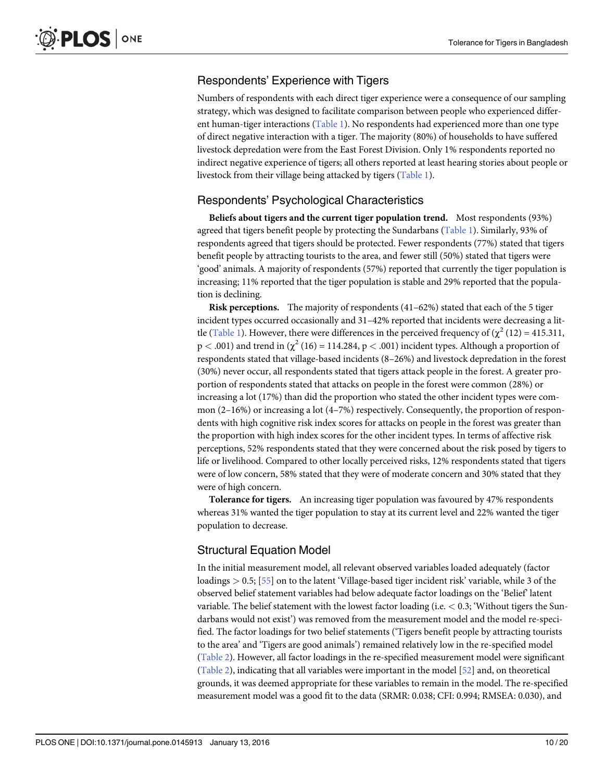# <span id="page-9-0"></span>Respondents' Experience with Tigers

Numbers of respondents with each direct tiger experience were a consequence of our sampling strategy, which was designed to facilitate comparison between people who experienced different human-tiger interactions ( $Table 1$ ). No respondents had experienced more than one type of direct negative interaction with a tiger. The majority (80%) of households to have suffered livestock depredation were from the East Forest Division. Only 1% respondents reported no indirect negative experience of tigers; all others reported at least hearing stories about people or livestock from their village being attacked by tigers ([Table 1](#page-6-0)).

# Respondents' Psychological Characteristics

Beliefs about tigers and the current tiger population trend. Most respondents (93%) agreed that tigers benefit people by protecting the Sundarbans [\(Table 1\)](#page-6-0). Similarly, 93% of respondents agreed that tigers should be protected. Fewer respondents (77%) stated that tigers benefit people by attracting tourists to the area, and fewer still (50%) stated that tigers were 'good' animals. A majority of respondents (57%) reported that currently the tiger population is increasing; 11% reported that the tiger population is stable and 29% reported that the population is declining.

Risk perceptions. The majority of respondents (41-62%) stated that each of the 5 tiger incident types occurred occasionally and 31–42% reported that incidents were decreasing a lit-tle [\(Table 1\)](#page-6-0). However, there were differences in the perceived frequency of ( $\chi^2$  (12) = 415.311,  $p < .001$ ) and trend in ( $\chi^2$  (16) = 114.284,  $p < .001$ ) incident types. Although a proportion of respondents stated that village-based incidents (8–26%) and livestock depredation in the forest (30%) never occur, all respondents stated that tigers attack people in the forest. A greater proportion of respondents stated that attacks on people in the forest were common (28%) or increasing a lot (17%) than did the proportion who stated the other incident types were common (2–16%) or increasing a lot (4–7%) respectively. Consequently, the proportion of respondents with high cognitive risk index scores for attacks on people in the forest was greater than the proportion with high index scores for the other incident types. In terms of affective risk perceptions, 52% respondents stated that they were concerned about the risk posed by tigers to life or livelihood. Compared to other locally perceived risks, 12% respondents stated that tigers were of low concern, 58% stated that they were of moderate concern and 30% stated that they were of high concern.

Tolerance for tigers. An increasing tiger population was favoured by 47% respondents whereas 31% wanted the tiger population to stay at its current level and 22% wanted the tiger population to decrease.

# Structural Equation Model

In the initial measurement model, all relevant observed variables loaded adequately (factor loadings > 0.5; [\[55\]](#page-18-0) on to the latent 'Village-based tiger incident risk' variable, while 3 of the observed belief statement variables had below adequate factor loadings on the 'Belief' latent variable. The belief statement with the lowest factor loading (i.e.  $\leq 0.3$ ; 'Without tigers the Sundarbans would not exist') was removed from the measurement model and the model re-specified. The factor loadings for two belief statements ('Tigers benefit people by attracting tourists to the area' and 'Tigers are good animals') remained relatively low in the re-specified model [\(Table 2\)](#page-10-0). However, all factor loadings in the re-specified measurement model were significant [\(Table 2\)](#page-10-0), indicating that all variables were important in the model [[52](#page-18-0)] and, on theoretical grounds, it was deemed appropriate for these variables to remain in the model. The re-specified measurement model was a good fit to the data (SRMR: 0.038; CFI: 0.994; RMSEA: 0.030), and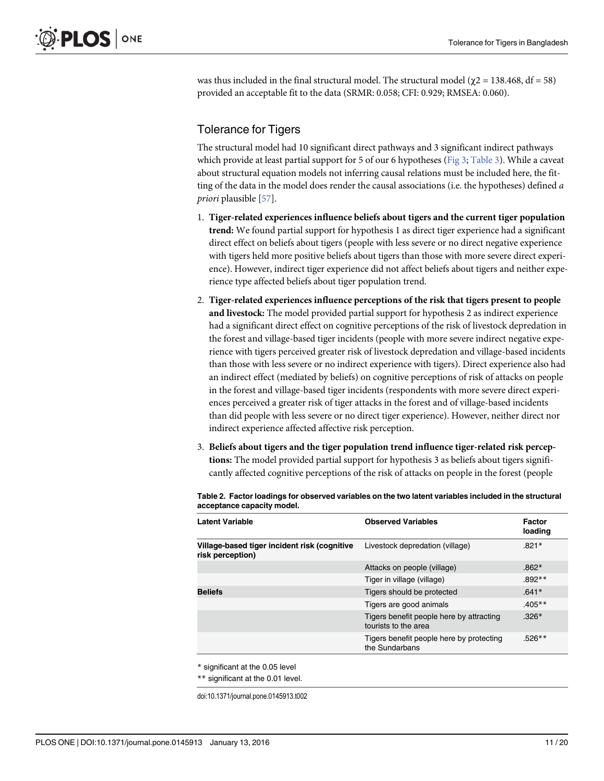<span id="page-10-0"></span>was thus included in the final structural model. The structural model ( $\gamma$ 2 = 138.468, df = 58) provided an acceptable fit to the data (SRMR: 0.058; CFI: 0.929; RMSEA: 0.060).

# Tolerance for Tigers

The structural model had 10 significant direct pathways and 3 significant indirect pathways which provide at least partial support for 5 of our 6 hypotheses [\(Fig 3;](#page-11-0) [Table 3](#page-12-0)). While a caveat about structural equation models not inferring causal relations must be included here, the fitting of the data in the model does render the causal associations (i.e. the hypotheses) defined a priori plausible [\[57\]](#page-18-0).

- 1. Tiger-related experiences influence beliefs about tigers and the current tiger population trend: We found partial support for hypothesis 1 as direct tiger experience had a significant direct effect on beliefs about tigers (people with less severe or no direct negative experience with tigers held more positive beliefs about tigers than those with more severe direct experience). However, indirect tiger experience did not affect beliefs about tigers and neither experience type affected beliefs about tiger population trend.
- 2. Tiger-related experiences influence perceptions of the risk that tigers present to people and livestock: The model provided partial support for hypothesis 2 as indirect experience had a significant direct effect on cognitive perceptions of the risk of livestock depredation in the forest and village-based tiger incidents (people with more severe indirect negative experience with tigers perceived greater risk of livestock depredation and village-based incidents than those with less severe or no indirect experience with tigers). Direct experience also had an indirect effect (mediated by beliefs) on cognitive perceptions of risk of attacks on people in the forest and village-based tiger incidents (respondents with more severe direct experiences perceived a greater risk of tiger attacks in the forest and of village-based incidents than did people with less severe or no direct tiger experience). However, neither direct nor indirect experience affected affective risk perception.
- 3. Beliefs about tigers and the tiger population trend influence tiger-related risk perceptions: The model provided partial support for hypothesis 3 as beliefs about tigers significantly affected cognitive perceptions of the risk of attacks on people in the forest (people

| <b>Latent Variable</b>                                           | <b>Observed Variables</b>                                        | Factor<br>loading |
|------------------------------------------------------------------|------------------------------------------------------------------|-------------------|
| Village-based tiger incident risk (cognitive<br>risk perception) | Livestock depredation (village)                                  | $.821*$           |
|                                                                  | Attacks on people (village)                                      | $.862*$           |
|                                                                  | Tiger in village (village)                                       | $.892**$          |
| <b>Beliefs</b>                                                   | Tigers should be protected                                       | $.641*$           |
|                                                                  | Tigers are good animals                                          | $.405**$          |
|                                                                  | Tigers benefit people here by attracting<br>tourists to the area | $.326*$           |
|                                                                  | Tigers benefit people here by protecting<br>the Sundarbans       | $.526**$          |

[Table 2.](#page-9-0) Factor loadings for observed variables on the two latent variables included in the structural acceptance capacity model.

\* significant at the 0.05 level

\*\* significant at the 0.01 level.

doi:10.1371/journal.pone.0145913.t002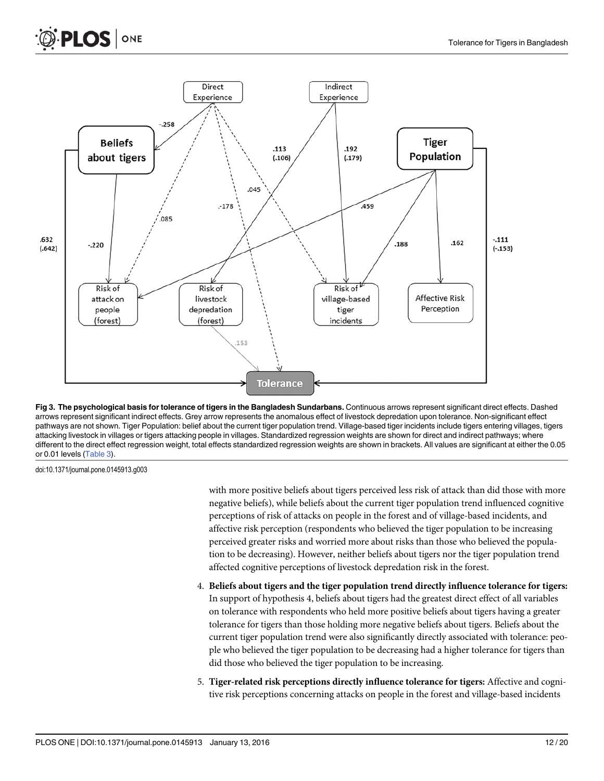<span id="page-11-0"></span>

[Fig 3. T](#page-10-0)he psychological basis for tolerance of tigers in the Bangladesh Sundarbans. Continuous arrows represent significant direct effects. Dashed arrows represent significant indirect effects. Grey arrow represents the anomalous effect of livestock depredation upon tolerance. Non-significant effect pathways are not shown. Tiger Population: belief about the current tiger population trend. Village-based tiger incidents include tigers entering villages, tigers attacking livestock in villages or tigers attacking people in villages. Standardized regression weights are shown for direct and indirect pathways; where different to the direct effect regression weight, total effects standardized regression weights are shown in brackets. All values are significant at either the 0.05 or 0.01 levels [\(Table 3](#page-12-0)).

doi:10.1371/journal.pone.0145913.g003

with more positive beliefs about tigers perceived less risk of attack than did those with more negative beliefs), while beliefs about the current tiger population trend influenced cognitive perceptions of risk of attacks on people in the forest and of village-based incidents, and affective risk perception (respondents who believed the tiger population to be increasing perceived greater risks and worried more about risks than those who believed the population to be decreasing). However, neither beliefs about tigers nor the tiger population trend affected cognitive perceptions of livestock depredation risk in the forest.

- 4. Beliefs about tigers and the tiger population trend directly influence tolerance for tigers: In support of hypothesis 4, beliefs about tigers had the greatest direct effect of all variables on tolerance with respondents who held more positive beliefs about tigers having a greater tolerance for tigers than those holding more negative beliefs about tigers. Beliefs about the current tiger population trend were also significantly directly associated with tolerance: people who believed the tiger population to be decreasing had a higher tolerance for tigers than did those who believed the tiger population to be increasing.
- 5. Tiger-related risk perceptions directly influence tolerance for tigers: Affective and cognitive risk perceptions concerning attacks on people in the forest and village-based incidents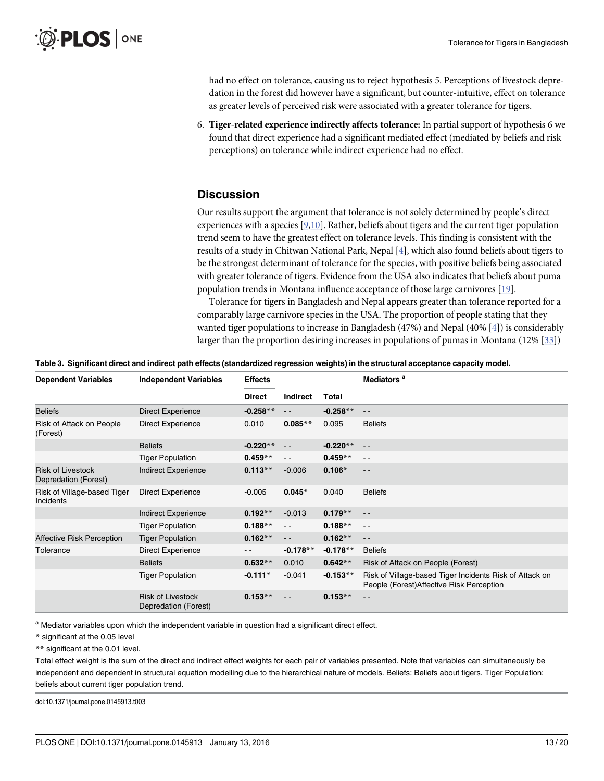<span id="page-12-0"></span>had no effect on tolerance, causing us to reject hypothesis 5. Perceptions of livestock depredation in the forest did however have a significant, but counter-intuitive, effect on tolerance as greater levels of perceived risk were associated with a greater tolerance for tigers.

6. Tiger-related experience indirectly affects tolerance: In partial support of hypothesis 6 we found that direct experience had a significant mediated effect (mediated by beliefs and risk perceptions) on tolerance while indirect experience had no effect.

# **Discussion**

Our results support the argument that tolerance is not solely determined by people's direct experiences with a species  $[9,10]$ . Rather, beliefs about tigers and the current tiger population trend seem to have the greatest effect on tolerance levels. This finding is consistent with the results of a study in Chitwan National Park, Nepal [\[4](#page-16-0)], which also found beliefs about tigers to be the strongest determinant of tolerance for the species, with positive beliefs being associated with greater tolerance of tigers. Evidence from the USA also indicates that beliefs about puma population trends in Montana influence acceptance of those large carnivores [\[19\]](#page-17-0).

Tolerance for tigers in Bangladesh and Nepal appears greater than tolerance reported for a comparably large carnivore species in the USA. The proportion of people stating that they wanted tiger populations to increase in Bangladesh (47%) and Nepal (40% [[4\]](#page-16-0)) is considerably larger than the proportion desiring increases in populations of pumas in Montana (12% [\[33\]](#page-17-0))

| Table 3. Significant direct and indirect path effects (standardized regression weights) in the structural acceptance capacity model. |  |  |  |
|--------------------------------------------------------------------------------------------------------------------------------------|--|--|--|
|                                                                                                                                      |  |  |  |

| <b>Dependent Variables</b>                       | <b>Independent Variables</b>                     | <b>Effects</b> |                 |            | Mediators <sup>a</sup>                                                                               |
|--------------------------------------------------|--------------------------------------------------|----------------|-----------------|------------|------------------------------------------------------------------------------------------------------|
|                                                  |                                                  | <b>Direct</b>  | <b>Indirect</b> | Total      |                                                                                                      |
| <b>Beliefs</b>                                   | <b>Direct Experience</b>                         | $-0.258**$     | $\frac{1}{2}$   | $-0.258**$ | $\sim$ $\sim$                                                                                        |
| Risk of Attack on People<br>(Forest)             | <b>Direct Experience</b>                         | 0.010          | $0.085**$       | 0.095      | <b>Beliefs</b>                                                                                       |
|                                                  | <b>Beliefs</b>                                   | $-0.220**$     | $\frac{1}{2}$   | $-0.220**$ | $\sim$ $-$                                                                                           |
|                                                  | <b>Tiger Population</b>                          | $0.459**$      | $\sim$ $\sim$   | $0.459**$  | $ -$                                                                                                 |
| <b>Risk of Livestock</b><br>Depredation (Forest) | Indirect Experience                              | $0.113**$      | $-0.006$        | $0.106*$   | $\frac{1}{2}$                                                                                        |
| Risk of Village-based Tiger<br>Incidents         | <b>Direct Experience</b>                         | $-0.005$       | $0.045*$        | 0.040      | <b>Beliefs</b>                                                                                       |
|                                                  | Indirect Experience                              | $0.192**$      | $-0.013$        | $0.179**$  | $\frac{1}{2}$                                                                                        |
|                                                  | <b>Tiger Population</b>                          | $0.188**$      | $\sim$ $\sim$   | $0.188**$  | $\sim$ $\sim$                                                                                        |
| Affective Risk Perception                        | <b>Tiger Population</b>                          | $0.162**$      | $\sim$ $-$      | $0.162**$  | $ -$                                                                                                 |
| Tolerance                                        | <b>Direct Experience</b>                         | $ -$           | $-0.178**$      | $-0.178**$ | <b>Beliefs</b>                                                                                       |
|                                                  | <b>Beliefs</b>                                   | $0.632**$      | 0.010           | $0.642**$  | Risk of Attack on People (Forest)                                                                    |
|                                                  | <b>Tiger Population</b>                          | $-0.111*$      | $-0.041$        | $-0.153**$ | Risk of Village-based Tiger Incidents Risk of Attack on<br>People (Forest) Affective Risk Perception |
|                                                  | <b>Risk of Livestock</b><br>Depredation (Forest) | $0.153**$      | $ -$            | $0.153**$  | $ -$                                                                                                 |

a Mediator variables upon which the independent variable in question had a significant direct effect.

\* significant at the 0.05 level

\*\* significant at the 0.01 level.

Total effect weight is the sum of the direct and indirect effect weights for each pair of variables presented. Note that variables can simultaneously be independent and dependent in structural equation modelling due to the hierarchical nature of models. Beliefs: Beliefs about tigers. Tiger Population: beliefs about current tiger population trend.

doi:10.1371/journal.pone.0145913.t003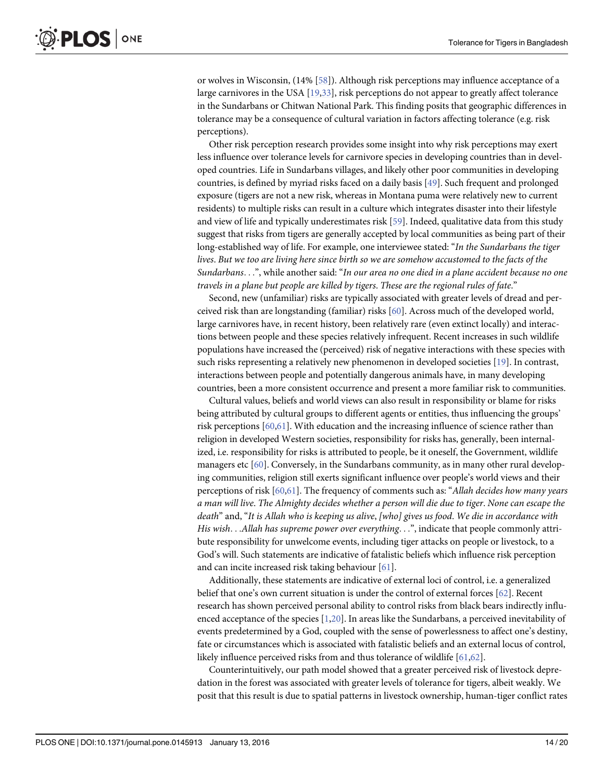<span id="page-13-0"></span>or wolves in Wisconsin, (14% [[58](#page-18-0)]). Although risk perceptions may influence acceptance of a large carnivores in the USA [\[19,33\]](#page-17-0), risk perceptions do not appear to greatly affect tolerance in the Sundarbans or Chitwan National Park. This finding posits that geographic differences in tolerance may be a consequence of cultural variation in factors affecting tolerance (e.g. risk perceptions).

Other risk perception research provides some insight into why risk perceptions may exert less influence over tolerance levels for carnivore species in developing countries than in developed countries. Life in Sundarbans villages, and likely other poor communities in developing countries, is defined by myriad risks faced on a daily basis [[49](#page-18-0)]. Such frequent and prolonged exposure (tigers are not a new risk, whereas in Montana puma were relatively new to current residents) to multiple risks can result in a culture which integrates disaster into their lifestyle and view of life and typically underestimates risk [\[59\]](#page-18-0). Indeed, qualitative data from this study suggest that risks from tigers are generally accepted by local communities as being part of their long-established way of life. For example, one interviewee stated: "In the Sundarbans the tiger lives. But we too are living here since birth so we are somehow accustomed to the facts of the Sundarbans...", while another said: "In our area no one died in a plane accident because no one travels in a plane but people are killed by tigers. These are the regional rules of fate."

Second, new (unfamiliar) risks are typically associated with greater levels of dread and perceived risk than are longstanding (familiar) risks [\[60\]](#page-18-0). Across much of the developed world, large carnivores have, in recent history, been relatively rare (even extinct locally) and interactions between people and these species relatively infrequent. Recent increases in such wildlife populations have increased the (perceived) risk of negative interactions with these species with such risks representing a relatively new phenomenon in developed societies [\[19](#page-17-0)]. In contrast, interactions between people and potentially dangerous animals have, in many developing countries, been a more consistent occurrence and present a more familiar risk to communities.

Cultural values, beliefs and world views can also result in responsibility or blame for risks being attributed by cultural groups to different agents or entities, thus influencing the groups' risk perceptions [[60,61](#page-18-0)]. With education and the increasing influence of science rather than religion in developed Western societies, responsibility for risks has, generally, been internalized, i.e. responsibility for risks is attributed to people, be it oneself, the Government, wildlife managers etc [[60](#page-18-0)]. Conversely, in the Sundarbans community, as in many other rural developing communities, religion still exerts significant influence over people's world views and their perceptions of risk  $[60,61]$  $[60,61]$ . The frequency of comments such as: "Allah decides how many years a man will live. The Almighty decides whether a person will die due to tiger. None can escape the death" and, "It is Allah who is keeping us alive, [who] gives us food. We die in accordance with His wish...Allah has supreme power over everything...", indicate that people commonly attribute responsibility for unwelcome events, including tiger attacks on people or livestock, to a God's will. Such statements are indicative of fatalistic beliefs which influence risk perception and can incite increased risk taking behaviour [[61\]](#page-18-0).

Additionally, these statements are indicative of external loci of control, i.e. a generalized belief that one's own current situation is under the control of external forces [[62](#page-18-0)]. Recent research has shown perceived personal ability to control risks from black bears indirectly influenced acceptance of the species  $[1,20]$  $[1,20]$  $[1,20]$  $[1,20]$ . In areas like the Sundarbans, a perceived inevitability of events predetermined by a God, coupled with the sense of powerlessness to affect one's destiny, fate or circumstances which is associated with fatalistic beliefs and an external locus of control, likely influence perceived risks from and thus tolerance of wildlife [\[61,62\]](#page-18-0).

Counterintuitively, our path model showed that a greater perceived risk of livestock depredation in the forest was associated with greater levels of tolerance for tigers, albeit weakly. We posit that this result is due to spatial patterns in livestock ownership, human-tiger conflict rates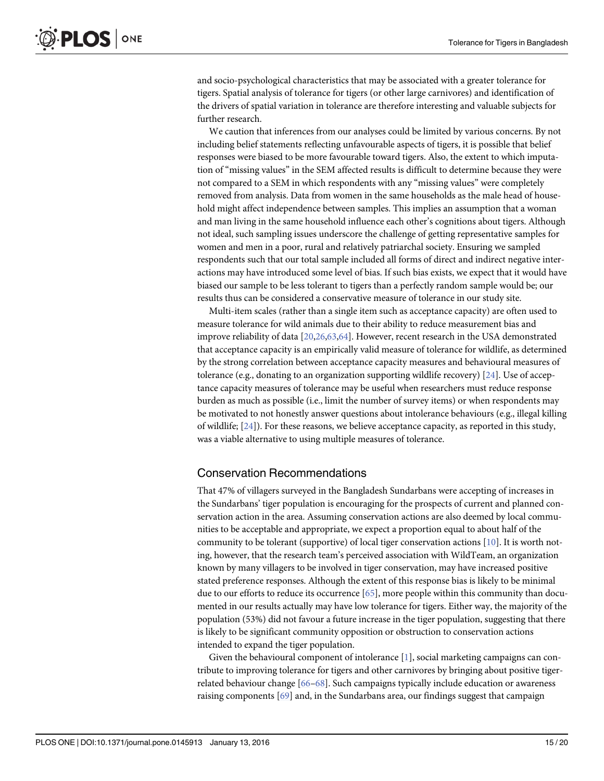<span id="page-14-0"></span>and socio-psychological characteristics that may be associated with a greater tolerance for tigers. Spatial analysis of tolerance for tigers (or other large carnivores) and identification of the drivers of spatial variation in tolerance are therefore interesting and valuable subjects for further research.

We caution that inferences from our analyses could be limited by various concerns. By not including belief statements reflecting unfavourable aspects of tigers, it is possible that belief responses were biased to be more favourable toward tigers. Also, the extent to which imputation of "missing values" in the SEM affected results is difficult to determine because they were not compared to a SEM in which respondents with any "missing values" were completely removed from analysis. Data from women in the same households as the male head of household might affect independence between samples. This implies an assumption that a woman and man living in the same household influence each other's cognitions about tigers. Although not ideal, such sampling issues underscore the challenge of getting representative samples for women and men in a poor, rural and relatively patriarchal society. Ensuring we sampled respondents such that our total sample included all forms of direct and indirect negative interactions may have introduced some level of bias. If such bias exists, we expect that it would have biased our sample to be less tolerant to tigers than a perfectly random sample would be; our results thus can be considered a conservative measure of tolerance in our study site.

Multi-item scales (rather than a single item such as acceptance capacity) are often used to measure tolerance for wild animals due to their ability to reduce measurement bias and improve reliability of data [\[20,26,](#page-17-0)[63](#page-18-0),[64](#page-18-0)]. However, recent research in the USA demonstrated that acceptance capacity is an empirically valid measure of tolerance for wildlife, as determined by the strong correlation between acceptance capacity measures and behavioural measures of tolerance (e.g., donating to an organization supporting wildlife recovery) [ $24$ ]. Use of acceptance capacity measures of tolerance may be useful when researchers must reduce response burden as much as possible (i.e., limit the number of survey items) or when respondents may be motivated to not honestly answer questions about intolerance behaviours (e.g., illegal killing of wildlife; [\[24\]](#page-17-0)). For these reasons, we believe acceptance capacity, as reported in this study, was a viable alternative to using multiple measures of tolerance.

#### Conservation Recommendations

That 47% of villagers surveyed in the Bangladesh Sundarbans were accepting of increases in the Sundarbans' tiger population is encouraging for the prospects of current and planned conservation action in the area. Assuming conservation actions are also deemed by local communities to be acceptable and appropriate, we expect a proportion equal to about half of the community to be tolerant (supportive) of local tiger conservation actions  $[10]$ . It is worth noting, however, that the research team's perceived association with WildTeam, an organization known by many villagers to be involved in tiger conservation, may have increased positive stated preference responses. Although the extent of this response bias is likely to be minimal due to our efforts to reduce its occurrence  $[65]$ , more people within this community than documented in our results actually may have low tolerance for tigers. Either way, the majority of the population (53%) did not favour a future increase in the tiger population, suggesting that there is likely to be significant community opposition or obstruction to conservation actions intended to expand the tiger population.

Given the behavioural component of intolerance [[1\]](#page-16-0), social marketing campaigns can contribute to improving tolerance for tigers and other carnivores by bringing about positive tigerrelated behaviour change [\[66](#page-19-0)–[68](#page-19-0)]. Such campaigns typically include education or awareness raising components  $[69]$  $[69]$  and, in the Sundarbans area, our findings suggest that campaign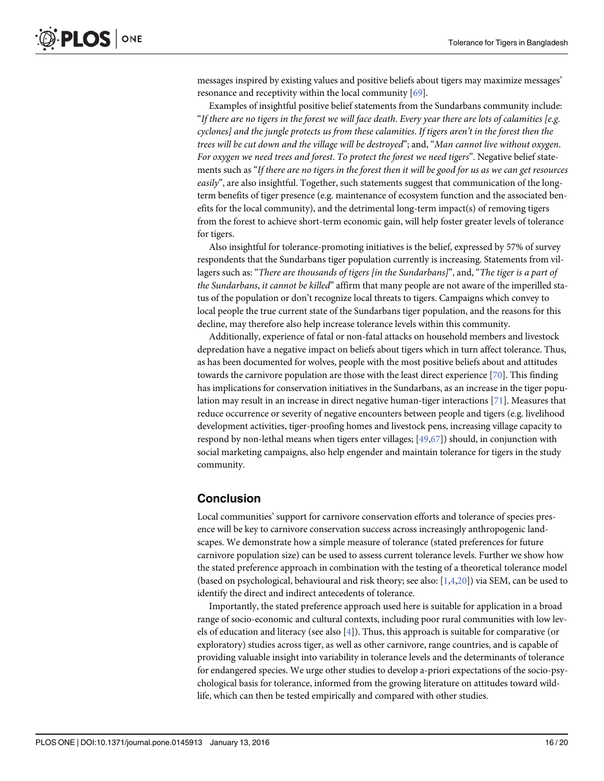<span id="page-15-0"></span>messages inspired by existing values and positive beliefs about tigers may maximize messages' resonance and receptivity within the local community [[69](#page-19-0)].

Examples of insightful positive belief statements from the Sundarbans community include: "If there are no tigers in the forest we will face death. Every year there are lots of calamities [e.g. cyclones] and the jungle protects us from these calamities. If tigers aren't in the forest then the trees will be cut down and the village will be destroyed"; and, "Man cannot live without oxygen. For oxygen we need trees and forest. To protect the forest we need tigers". Negative belief statements such as "If there are no tigers in the forest then it will be good for us as we can get resources easily", are also insightful. Together, such statements suggest that communication of the longterm benefits of tiger presence (e.g. maintenance of ecosystem function and the associated benefits for the local community), and the detrimental long-term impact(s) of removing tigers from the forest to achieve short-term economic gain, will help foster greater levels of tolerance for tigers.

Also insightful for tolerance-promoting initiatives is the belief, expressed by 57% of survey respondents that the Sundarbans tiger population currently is increasing. Statements from villagers such as: "There are thousands of tigers [in the Sundarbans]", and, "The tiger is a part of the Sundarbans, it cannot be killed" affirm that many people are not aware of the imperilled status of the population or don't recognize local threats to tigers. Campaigns which convey to local people the true current state of the Sundarbans tiger population, and the reasons for this decline, may therefore also help increase tolerance levels within this community.

Additionally, experience of fatal or non-fatal attacks on household members and livestock depredation have a negative impact on beliefs about tigers which in turn affect tolerance. Thus, as has been documented for wolves, people with the most positive beliefs about and attitudes towards the carnivore population are those with the least direct experience  $[70]$  $[70]$  $[70]$ . This finding has implications for conservation initiatives in the Sundarbans, as an increase in the tiger population may result in an increase in direct negative human-tiger interactions [[71\]](#page-19-0). Measures that reduce occurrence or severity of negative encounters between people and tigers (e.g. livelihood development activities, tiger-proofing homes and livestock pens, increasing village capacity to respond by non-lethal means when tigers enter villages; [\[49,](#page-18-0)[67](#page-19-0)]) should, in conjunction with social marketing campaigns, also help engender and maintain tolerance for tigers in the study community.

#### Conclusion

Local communities' support for carnivore conservation efforts and tolerance of species presence will be key to carnivore conservation success across increasingly anthropogenic landscapes. We demonstrate how a simple measure of tolerance (stated preferences for future carnivore population size) can be used to assess current tolerance levels. Further we show how the stated preference approach in combination with the testing of a theoretical tolerance model (based on psychological, behavioural and risk theory; see also:  $[1,4,20]$  $[1,4,20]$  $[1,4,20]$  $[1,4,20]$  $[1,4,20]$ ) via SEM, can be used to identify the direct and indirect antecedents of tolerance.

Importantly, the stated preference approach used here is suitable for application in a broad range of socio-economic and cultural contexts, including poor rural communities with low levels of education and literacy (see also [\[4](#page-16-0)]). Thus, this approach is suitable for comparative (or exploratory) studies across tiger, as well as other carnivore, range countries, and is capable of providing valuable insight into variability in tolerance levels and the determinants of tolerance for endangered species. We urge other studies to develop a-priori expectations of the socio-psychological basis for tolerance, informed from the growing literature on attitudes toward wildlife, which can then be tested empirically and compared with other studies.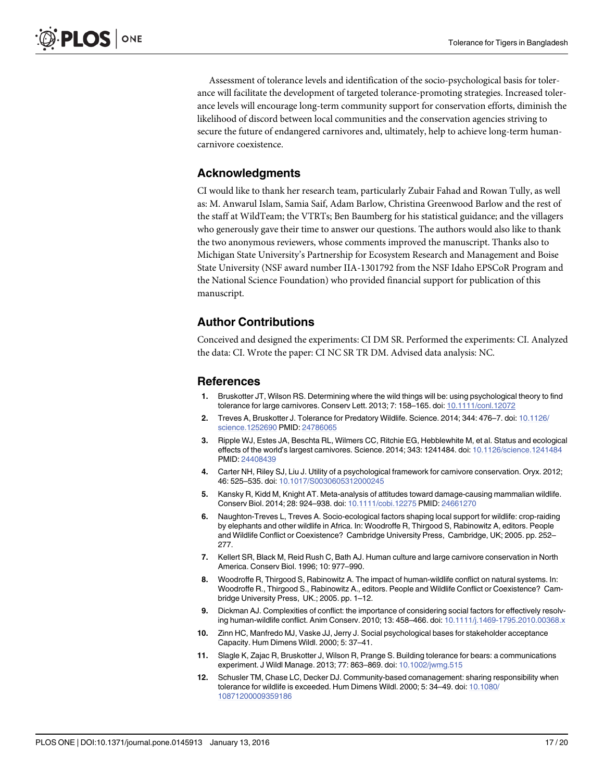<span id="page-16-0"></span>Assessment of tolerance levels and identification of the socio-psychological basis for tolerance will facilitate the development of targeted tolerance-promoting strategies. Increased tolerance levels will encourage long-term community support for conservation efforts, diminish the likelihood of discord between local communities and the conservation agencies striving to secure the future of endangered carnivores and, ultimately, help to achieve long-term humancarnivore coexistence.

## Acknowledgments

CI would like to thank her research team, particularly Zubair Fahad and Rowan Tully, as well as: M. Anwarul Islam, Samia Saif, Adam Barlow, Christina Greenwood Barlow and the rest of the staff at WildTeam; the VTRTs; Ben Baumberg for his statistical guidance; and the villagers who generously gave their time to answer our questions. The authors would also like to thank the two anonymous reviewers, whose comments improved the manuscript. Thanks also to Michigan State University's Partnership for Ecosystem Research and Management and Boise State University (NSF award number IIA-1301792 from the NSF Idaho EPSCoR Program and the National Science Foundation) who provided financial support for publication of this manuscript.

# Author Contributions

Conceived and designed the experiments: CI DM SR. Performed the experiments: CI. Analyzed the data: CI. Wrote the paper: CI NC SR TR DM. Advised data analysis: NC.

#### **References**

- [1.](#page-1-0) Bruskotter JT, Wilson RS. Determining where the wild things will be: using psychological theory to find tolerance for large carnivores. Conserv Lett. 2013; 7: 158-165. doi: [10.1111/conl.12072](http://dx.doi.org/10.1111/conl.12072)
- 2. Treves A, Bruskotter J. Tolerance for Predatory Wildlife. Science. 2014; 344: 476-7. doi: [10.1126/](http://dx.doi.org/10.1126/science.1252690) [science.1252690](http://dx.doi.org/10.1126/science.1252690) PMID: [24786065](http://www.ncbi.nlm.nih.gov/pubmed/24786065)
- [3.](#page-1-0) Ripple WJ, Estes JA, Beschta RL, Wilmers CC, Ritchie EG, Hebblewhite M, et al. Status and ecological effects of the world's largest carnivores. Science. 2014; 343: 1241484. doi: [10.1126/science.1241484](http://dx.doi.org/10.1126/science.1241484) PMID: [24408439](http://www.ncbi.nlm.nih.gov/pubmed/24408439)
- [4.](#page-1-0) Carter NH, Riley SJ, Liu J. Utility of a psychological framework for carnivore conservation. Oryx. 2012; 46: 525–535. doi: [10.1017/S0030605312000245](http://dx.doi.org/10.1017/S0030605312000245)
- [5.](#page-1-0) Kansky R, Kidd M, Knight AT. Meta-analysis of attitudes toward damage-causing mammalian wildlife. Conserv Biol. 2014; 28: 924–938. doi: [10.1111/cobi.12275](http://dx.doi.org/10.1111/cobi.12275) PMID: [24661270](http://www.ncbi.nlm.nih.gov/pubmed/24661270)
- [6.](#page-1-0) Naughton-Treves L, Treves A. Socio-ecological factors shaping local support for wildlife: crop-raiding by elephants and other wildlife in Africa. In: Woodroffe R, Thirgood S, Rabinowitz A, editors. People and Wildlife Conflict or Coexistence? Cambridge University Press, Cambridge, UK; 2005. pp. 252– 277.
- [7.](#page-1-0) Kellert SR, Black M, Reid Rush C, Bath AJ. Human culture and large carnivore conservation in North America. Conserv Biol. 1996; 10: 977–990.
- [8.](#page-1-0) Woodroffe R, Thirgood S, Rabinowitz A. The impact of human-wildlife conflict on natural systems. In: Woodroffe R., Thirgood S., Rabinowitz A., editors. People and Wildlife Conflict or Coexistence? Cambridge University Press, UK.; 2005. pp. 1–12.
- [9.](#page-1-0) Dickman AJ. Complexities of conflict: the importance of considering social factors for effectively resolv-ing human-wildlife conflict. Anim Conserv. 2010; 13: 458–466. doi: [10.1111/j.1469-1795.2010.00368.x](http://dx.doi.org/10.1111/j.1469-1795.2010.00368.x)
- [10.](#page-1-0) Zinn HC, Manfredo MJ, Vaske JJ, Jerry J. Social psychological bases for stakeholder acceptance Capacity. Hum Dimens Wildl. 2000; 5: 37–41.
- [11.](#page-1-0) Slagle K, Zajac R, Bruskotter J, Wilson R, Prange S. Building tolerance for bears: a communications experiment. J Wildl Manage. 2013; 77: 863-869. doi: [10.1002/jwmg.515](http://dx.doi.org/10.1002/jwmg.515)
- [12.](#page-1-0) Schusler TM, Chase LC, Decker DJ. Community-based comanagement: sharing responsibility when tolerance for wildlife is exceeded. Hum Dimens Wildl. 2000; 5: 34–49. doi: [10.1080/](http://dx.doi.org/10.1080/10871200009359186) [10871200009359186](http://dx.doi.org/10.1080/10871200009359186)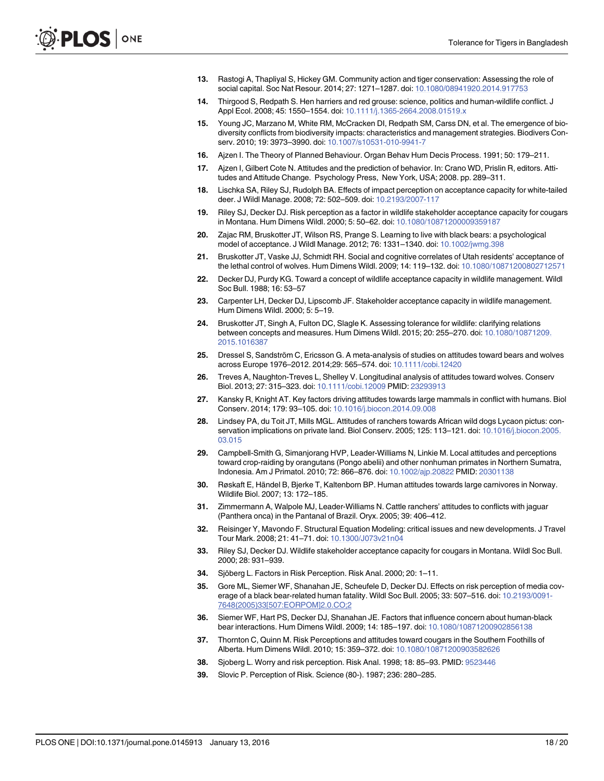- <span id="page-17-0"></span>[13.](#page-1-0) Rastogi A, Thapliyal S, Hickey GM. Community action and tiger conservation: Assessing the role of social capital. Soc Nat Resour. 2014; 27: 1271–1287. doi: [10.1080/08941920.2014.917753](http://dx.doi.org/10.1080/08941920.2014.917753)
- [14.](#page-1-0) Thirgood S, Redpath S. Hen harriers and red grouse: science, politics and human-wildlife conflict. J Appl Ecol. 2008; 45: 1550–1554. doi: [10.1111/j.1365-2664.2008.01519.x](http://dx.doi.org/10.1111/j.1365-2664.2008.01519.x)
- [15.](#page-1-0) Young JC, Marzano M, White RM, McCracken DI, Redpath SM, Carss DN, et al. The emergence of biodiversity conflicts from biodiversity impacts: characteristics and management strategies. Biodivers Conserv. 2010; 19: 3973–3990. doi: [10.1007/s10531-010-9941-7](http://dx.doi.org/10.1007/s10531-010-9941-7)
- [16.](#page-1-0) Ajzen I. The Theory of Planned Behaviour. Organ Behav Hum Decis Process. 1991; 50: 179–211.
- [17.](#page-1-0) Ajzen I, Gilbert Cote N. Attitudes and the prediction of behavior. In: Crano WD, Prislin R, editors. Attitudes and Attitude Change. Psychology Press, New York, USA; 2008. pp. 289–311.
- [18.](#page-1-0) Lischka SA, Riley SJ, Rudolph BA. Effects of impact perception on acceptance capacity for white-tailed deer. J Wildl Manage. 2008; 72: 502–509. doi: [10.2193/2007-117](http://dx.doi.org/10.2193/2007-117)
- [19.](#page-2-0) Riley SJ, Decker DJ. Risk perception as a factor in wildlife stakeholder acceptance capacity for cougars in Montana. Hum Dimens Wildl. 2000; 5: 50–62. doi: [10.1080/10871200009359187](http://dx.doi.org/10.1080/10871200009359187)
- [20.](#page-1-0) Zajac RM, Bruskotter JT, Wilson RS, Prange S. Learning to live with black bears: a psychological model of acceptance. J Wildl Manage. 2012; 76: 1331–1340. doi: [10.1002/jwmg.398](http://dx.doi.org/10.1002/jwmg.398)
- [21.](#page-1-0) Bruskotter JT, Vaske JJ, Schmidt RH. Social and cognitive correlates of Utah residents' acceptance of the lethal control of wolves. Hum Dimens Wildl. 2009; 14: 119–132. doi: [10.1080/10871200802712571](http://dx.doi.org/10.1080/10871200802712571)
- [22.](#page-1-0) Decker DJ, Purdy KG. Toward a concept of wildlife acceptance capacity in wildlife management. Wildl Soc Bull. 1988; 16: 53–57
- 23. Carpenter LH, Decker DJ, Lipscomb JF. Stakeholder acceptance capacity in wildlife management. Hum Dimens Wildl. 2000; 5: 5–19.
- [24.](#page-1-0) Bruskotter JT, Singh A, Fulton DC, Slagle K. Assessing tolerance for wildlife: clarifying relations between concepts and measures. Hum Dimens Wildl. 2015; 20: 255–270. doi: [10.1080/10871209.](http://dx.doi.org/10.1080/10871209.2015.1016387) [2015.1016387](http://dx.doi.org/10.1080/10871209.2015.1016387)
- [25.](#page-1-0) Dressel S, Sandström C, Ericsson G. A meta-analysis of studies on attitudes toward bears and wolves across Europe 1976–2012. 2014;29: 565–574. doi: [10.1111/cobi.12420](http://dx.doi.org/10.1111/cobi.12420)
- [26.](#page-4-0) Treves A, Naughton-Treves L, Shelley V. Longitudinal analysis of attitudes toward wolves. Conserv Biol. 2013; 27: 315–323. doi: [10.1111/cobi.12009](http://dx.doi.org/10.1111/cobi.12009) PMID: [23293913](http://www.ncbi.nlm.nih.gov/pubmed/23293913)
- 27. Kansky R, Knight AT. Key factors driving attitudes towards large mammals in conflict with humans. Biol Conserv. 2014; 179: 93–105. doi: [10.1016/j.biocon.2014.09.008](http://dx.doi.org/10.1016/j.biocon.2014.09.008)
- 28. Lindsey PA, du Toit JT, Mills MGL. Attitudes of ranchers towards African wild dogs Lycaon pictus: conservation implications on private land. Biol Conserv. 2005; 125: 113–121. doi: [10.1016/j.biocon.2005.](http://dx.doi.org/10.1016/j.biocon.2005.03.015) [03.015](http://dx.doi.org/10.1016/j.biocon.2005.03.015)
- 29. Campbell-Smith G, Simanjorang HVP, Leader-Williams N, Linkie M. Local attitudes and perceptions toward crop-raiding by orangutans (Pongo abelii) and other nonhuman primates in Northern Sumatra, Indonesia. Am J Primatol. 2010; 72: 866–876. doi: [10.1002/ajp.20822](http://dx.doi.org/10.1002/ajp.20822) PMID: [20301138](http://www.ncbi.nlm.nih.gov/pubmed/20301138)
- [30.](#page-2-0) Røskaft E, Händel B, Bjerke T, Kaltenborn BP. Human attitudes towards large carnivores in Norway. Wildlife Biol. 2007; 13: 172–185.
- [31.](#page-1-0) Zimmermann A, Walpole MJ, Leader-Williams N. Cattle ranchers' attitudes to conflicts with jaguar (Panthera onca) in the Pantanal of Brazil. Oryx. 2005; 39: 406–412.
- [32.](#page-1-0) Reisinger Y, Mavondo F. Structural Equation Modeling: critical issues and new developments. J Travel Tour Mark. 2008; 21: 41–71. doi: [10.1300/J073v21n04](http://dx.doi.org/10.1300/J073v21n04)
- [33.](#page-2-0) Riley SJ, Decker DJ. Wildlife stakeholder acceptance capacity for cougars in Montana. Wildl Soc Bull. 2000; 28: 931–939.
- [34.](#page-2-0) Sjöberg L. Factors in Risk Perception. Risk Anal. 2000; 20: 1–11.
- [35.](#page-2-0) Gore ML, Siemer WF, Shanahan JE, Scheufele D, Decker DJ. Effects on risk perception of media coverage of a black bear-related human fatality. Wildl Soc Bull. 2005; 33: 507–516. doi: [10.2193/0091-](http://dx.doi.org/10.2193/0091-7648(2005)33[507:EORPOM]2.0.CO;2) [7648\(2005\)33\[507:EORPOM\]2.0.CO;2](http://dx.doi.org/10.2193/0091-7648(2005)33[507:EORPOM]2.0.CO;2)
- [36.](#page-2-0) Siemer WF, Hart PS, Decker DJ, Shanahan JE. Factors that influence concern about human-black bear interactions. Hum Dimens Wildl. 2009; 14: 185–197. doi: [10.1080/10871200902856138](http://dx.doi.org/10.1080/10871200902856138)
- [37.](#page-2-0) Thornton C, Quinn M. Risk Perceptions and attitudes toward cougars in the Southern Foothills of Alberta. Hum Dimens Wildl. 2010; 15: 359–372. doi: [10.1080/10871200903582626](http://dx.doi.org/10.1080/10871200903582626)
- **[38.](#page-2-0)** Sjoberg L. Worry and risk perception. Risk Anal. 1998; 18: 85–93. PMID: [9523446](http://www.ncbi.nlm.nih.gov/pubmed/9523446)
- [39.](#page-2-0) Slovic P. Perception of Risk. Science (80-). 1987; 236: 280–285.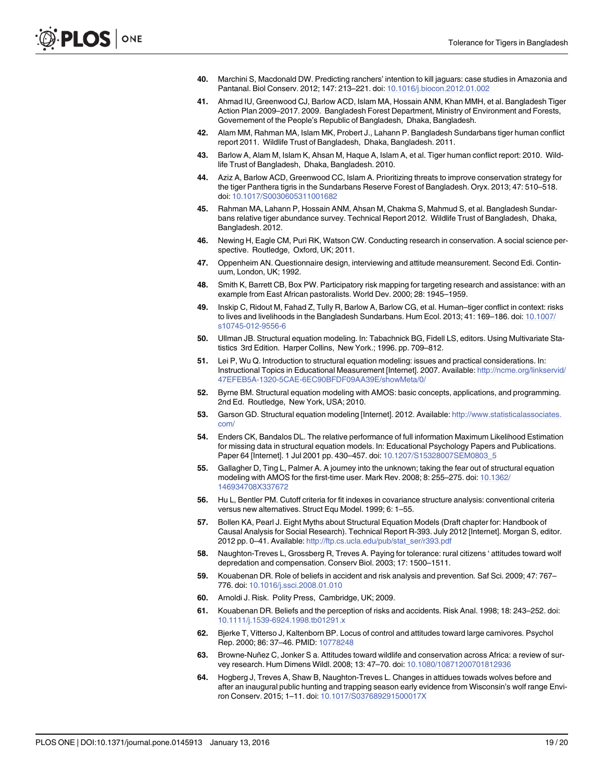- <span id="page-18-0"></span>[40.](#page-4-0) Marchini S, Macdonald DW. Predicting ranchers' intention to kill jaguars: case studies in Amazonia and Pantanal. Biol Conserv. 2012; 147: 213–221. doi: [10.1016/j.biocon.2012.01.002](http://dx.doi.org/10.1016/j.biocon.2012.01.002)
- [41.](#page-4-0) Ahmad IU, Greenwood CJ, Barlow ACD, Islam MA, Hossain ANM, Khan MMH, et al. Bangladesh Tiger Action Plan 2009–2017. 2009. Bangladesh Forest Department, Ministry of Environment and Forests, Governement of the People's Republic of Bangladesh, Dhaka, Bangladesh.
- [42.](#page-4-0) Alam MM, Rahman MA, Islam MK, Probert J., Lahann P. Bangladesh Sundarbans tiger human conflict report 2011. Wildlife Trust of Bangladesh, Dhaka, Bangladesh. 2011.
- [43.](#page-4-0) Barlow A, Alam M, Islam K, Ahsan M, Haque A, Islam A, et al. Tiger human conflict report: 2010. Wildlife Trust of Bangladesh, Dhaka, Bangladesh. 2010.
- [44.](#page-5-0) Aziz A, Barlow ACD, Greenwood CC, Islam A. Prioritizing threats to improve conservation strategy for the tiger Panthera tigris in the Sundarbans Reserve Forest of Bangladesh. Oryx. 2013; 47: 510–518. doi: [10.1017/S0030605311001682](http://dx.doi.org/10.1017/S0030605311001682)
- [45.](#page-5-0) Rahman MA, Lahann P, Hossain ANM, Ahsan M, Chakma S, Mahmud S, et al. Bangladesh Sundarbans relative tiger abundance survey. Technical Report 2012. Wildlife Trust of Bangladesh, Dhaka, Bangladesh. 2012.
- [46.](#page-7-0) Newing H, Eagle CM, Puri RK, Watson CW. Conducting research in conservation. A social science perspective. Routledge, Oxford, UK; 2011.
- [47.](#page-7-0) Oppenheim AN. Questionnaire design, interviewing and attitude meansurement. Second Edi. Continuum, London, UK; 1992.
- [48.](#page-7-0) Smith K, Barrett CB, Box PW. Participatory risk mapping for targeting research and assistance: with an example from East African pastoralists. World Dev. 2000; 28: 1945–1959.
- [49.](#page-7-0) Inskip C, Ridout M, Fahad Z, Tully R, Barlow A, Barlow CG, et al. Human–tiger conflict in context: risks to lives and livelihoods in the Bangladesh Sundarbans. Hum Ecol. 2013; 41: 169–186. doi: [10.1007/](http://dx.doi.org/10.1007/s10745-012-9556-6) [s10745-012-9556-6](http://dx.doi.org/10.1007/s10745-012-9556-6)
- [50.](#page-8-0) Ullman JB. Structural equation modeling. In: Tabachnick BG, Fidell LS, editors. Using Multivariate Statistics 3rd Edition. Harper Collins, New York.; 1996. pp. 709–812.
- [51.](#page-8-0) Lei P, Wu Q. Introduction to structural equation modeling: issues and practical considerations. In: Instructional Topics in Educational Measurement [Internet]. 2007. Available: [http://ncme.org/linkservid/](http://ncme.org/linkservid/47EFEB5A-1320-5CAE-6EC90BFDF09AA39E/showMeta/0/) [47EFEB5A-1320-5CAE-6EC90BFDF09AA39E/showMeta/0/](http://ncme.org/linkservid/47EFEB5A-1320-5CAE-6EC90BFDF09AA39E/showMeta/0/)
- [52.](#page-6-0) Byrne BM. Structural equation modeling with AMOS: basic concepts, applications, and programming. 2nd Ed. Routledge, New York, USA; 2010.
- [53.](#page-8-0) Garson GD. Structural equation modeling [Internet]. 2012. Available: [http://www.statisticalassociates.](http://www.statisticalassociates.com/) [com/](http://www.statisticalassociates.com/)
- [54.](#page-8-0) Enders CK, Bandalos DL. The relative performance of full information Maximum Likelihood Estimation for missing data in structural equation models. In: Educational Psychology Papers and Publications. Paper 64 [Internet]. 1 Jul 2001 pp. 430–457. doi: [10.1207/S15328007SEM0803\\_5](http://dx.doi.org/10.1207/S15328007SEM0803_5)
- [55.](#page-6-0) Gallagher D, Ting L, Palmer A. A journey into the unknown; taking the fear out of structural equation modeling with AMOS for the first-time user. Mark Rev. 2008; 8: 255–275. doi: [10.1362/](http://dx.doi.org/10.1362/146934708X337672) [146934708X337672](http://dx.doi.org/10.1362/146934708X337672)
- [56.](#page-8-0) Hu L, Bentler PM. Cutoff criteria for fit indexes in covariance structure analysis: conventional criteria versus new alternatives. Struct Equ Model. 1999; 6: 1–55.
- [57.](#page-10-0) Bollen KA, Pearl J. Eight Myths about Structural Equation Models (Draft chapter for: Handbook of Causal Analysis for Social Research). Technical Report R-393. July 2012 [Internet]. Morgan S, editor. 2012 pp. 0–41. Available: [http://ftp.cs.ucla.edu/pub/stat\\_ser/r393.pdf](http://ftp.cs.ucla.edu/pub/stat_ser/r393.pdf)
- [58.](#page-13-0) Naughton-Treves L, Grossberg R, Treves A. Paying for tolerance: rural citizens 'attitudes toward wolf depredation and compensation. Conserv Biol. 2003; 17: 1500–1511.
- [59.](#page-13-0) Kouabenan DR. Role of beliefs in accident and risk analysis and prevention. Saf Sci. 2009; 47: 767– 776. doi: [10.1016/j.ssci.2008.01.010](http://dx.doi.org/10.1016/j.ssci.2008.01.010)
- [60.](#page-13-0) Arnoldi J. Risk. Polity Press, Cambridge, UK; 2009.
- [61.](#page-13-0) Kouabenan DR. Beliefs and the perception of risks and accidents. Risk Anal. 1998; 18: 243–252. doi: [10.1111/j.1539-6924.1998.tb01291.x](http://dx.doi.org/10.1111/j.1539-6924.1998.tb01291.x)
- [62.](#page-13-0) Bjerke T, Vitterso J, Kaltenborn BP. Locus of control and attitudes toward large carnivores. Psychol Rep. 2000; 86: 37–46. PMID: [10778248](http://www.ncbi.nlm.nih.gov/pubmed/10778248)
- [63.](#page-14-0) Browne-Nuñez C, Jonker S a. Attitudes toward wildlife and conservation across Africa: a review of survey research. Hum Dimens Wildl. 2008; 13: 47–70. doi: [10.1080/10871200701812936](http://dx.doi.org/10.1080/10871200701812936)
- [64.](#page-14-0) Hogberg J, Treves A, Shaw B, Naughton-Treves L. Changes in attidues towads wolves before and after an inaugural public hunting and trapping season early evidence from Wisconsin's wolf range Environ Conserv. 2015; 1–11. doi: [10.1017/S037689291500017X](http://dx.doi.org/10.1017/S037689291500017X)